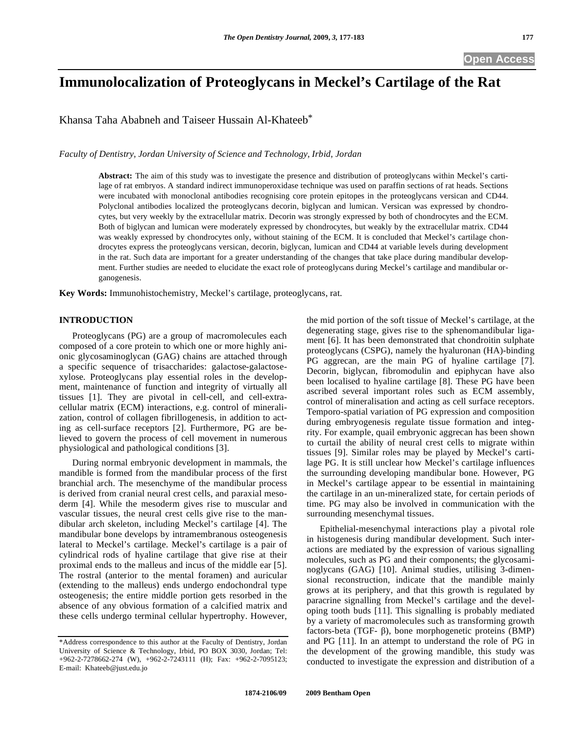# **Immunolocalization of Proteoglycans in Meckel's Cartilage of the Rat**

Khansa Taha Ababneh and Taiseer Hussain Al-Khateeb\*

*Faculty of Dentistry, Jordan University of Science and Technology, Irbid, Jordan* 

**Abstract:** The aim of this study was to investigate the presence and distribution of proteoglycans within Meckel's cartilage of rat embryos. A standard indirect immunoperoxidase technique was used on paraffin sections of rat heads. Sections were incubated with monoclonal antibodies recognising core protein epitopes in the proteoglycans versican and CD44. Polyclonal antibodies localized the proteoglycans decorin, biglycan and lumican. Versican was expressed by chondrocytes, but very weekly by the extracellular matrix. Decorin was strongly expressed by both of chondrocytes and the ECM. Both of biglycan and lumican were moderately expressed by chondrocytes, but weakly by the extracellular matrix. CD44 was weakly expressed by chondrocytes only, without staining of the ECM. It is concluded that Meckel's cartilage chondrocytes express the proteoglycans versican, decorin, biglycan, lumican and CD44 at variable levels during development in the rat. Such data are important for a greater understanding of the changes that take place during mandibular development. Further studies are needed to elucidate the exact role of proteoglycans during Meckel's cartilage and mandibular organogenesis.

**Key Words:** Immunohistochemistry, Meckel's cartilage, proteoglycans, rat.

## **INTRODUCTION**

 Proteoglycans (PG) are a group of macromolecules each composed of a core protein to which one or more highly anionic glycosaminoglycan (GAG) chains are attached through a specific sequence of trisaccharides: galactose-galactosexylose. Proteoglycans play essential roles in the development, maintenance of function and integrity of virtually all tissues [1]. They are pivotal in cell-cell, and cell-extracellular matrix (ECM) interactions, e.g. control of mineralization, control of collagen fibrillogenesis, in addition to acting as cell-surface receptors [2]. Furthermore, PG are believed to govern the process of cell movement in numerous physiological and pathological conditions [3].

 During normal embryonic development in mammals, the mandible is formed from the mandibular process of the first branchial arch. The mesenchyme of the mandibular process is derived from cranial neural crest cells, and paraxial mesoderm [4]. While the mesoderm gives rise to muscular and vascular tissues, the neural crest cells give rise to the mandibular arch skeleton, including Meckel's cartilage [4]. The mandibular bone develops by intramembranous osteogenesis lateral to Meckel's cartilage. Meckel's cartilage is a pair of cylindrical rods of hyaline cartilage that give rise at their proximal ends to the malleus and incus of the middle ear [5]. The rostral (anterior to the mental foramen) and auricular (extending to the malleus) ends undergo endochondral type osteogenesis; the entire middle portion gets resorbed in the absence of any obvious formation of a calcified matrix and these cells undergo terminal cellular hypertrophy. However,

the mid portion of the soft tissue of Meckel's cartilage, at the degenerating stage, gives rise to the sphenomandibular ligament [6]. It has been demonstrated that chondroitin sulphate proteoglycans (CSPG), namely the hyaluronan (HA)-binding PG aggrecan, are the main PG of hyaline cartilage [7]. Decorin, biglycan, fibromodulin and epiphycan have also been localised to hyaline cartilage [8]. These PG have been ascribed several important roles such as ECM assembly, control of mineralisation and acting as cell surface receptors. Temporo-spatial variation of PG expression and composition during embryogenesis regulate tissue formation and integrity. For example, quail embryonic aggrecan has been shown to curtail the ability of neural crest cells to migrate within tissues [9]. Similar roles may be played by Meckel's cartilage PG. It is still unclear how Meckel's cartilage influences the surrounding developing mandibular bone. However, PG in Meckel's cartilage appear to be essential in maintaining the cartilage in an un-mineralized state, for certain periods of time. PG may also be involved in communication with the surrounding mesenchymal tissues.

 Epithelial-mesenchymal interactions play a pivotal role in histogenesis during mandibular development. Such interactions are mediated by the expression of various signalling molecules, such as PG and their components; the glycosaminoglycans (GAG) [10]. Animal studies, utilising 3-dimensional reconstruction, indicate that the mandible mainly grows at its periphery, and that this growth is regulated by paracrine signalling from Meckel's cartilage and the developing tooth buds [11]. This signalling is probably mediated by a variety of macromolecules such as transforming growth factors-beta (TGF- $\beta$ ), bone morphogenetic proteins (BMP) and PG [11]. In an attempt to understand the role of PG in the development of the growing mandible, this study was conducted to investigate the expression and distribution of a

<sup>\*</sup>Address correspondence to this author at the Faculty of Dentistry, Jordan University of Science & Technology, Irbid, PO BOX 3030, Jordan; Tel: +962-2-7278662-274 (W), +962-2-7243111 (H); Fax: +962-2-7095123; E-mail: Khateeb@just.edu.jo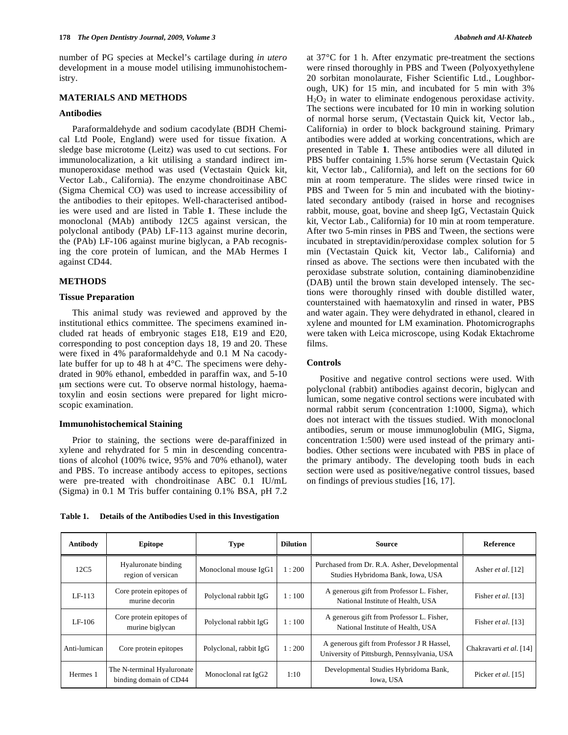number of PG species at Meckel's cartilage during *in utero* development in a mouse model utilising immunohistochemistry.

## **MATERIALS AND METHODS**

## **Antibodies**

 Paraformaldehyde and sodium cacodylate (BDH Chemical Ltd Poole, England) were used for tissue fixation. A sledge base microtome (Leitz) was used to cut sections. For immunolocalization, a kit utilising a standard indirect immunoperoxidase method was used (Vectastain Quick kit, Vector Lab., California). The enzyme chondroitinase ABC (Sigma Chemical CO) was used to increase accessibility of the antibodies to their epitopes. Well-characterised antibodies were used and are listed in Table **1**. These include the monoclonal (MAb) antibody 12C5 against versican, the polyclonal antibody (PAb) LF-113 against murine decorin, the (PAb) LF-106 against murine biglycan, a PAb recognising the core protein of lumican, and the MAb Hermes I against CD44.

#### **METHODS**

## **Tissue Preparation**

 This animal study was reviewed and approved by the institutional ethics committee. The specimens examined included rat heads of embryonic stages E18, E19 and E20, corresponding to post conception days 18, 19 and 20. These were fixed in 4% paraformaldehyde and 0.1 M Na cacodylate buffer for up to 48 h at 4°C. The specimens were dehydrated in 90% ethanol, embedded in paraffin wax, and 5-10 μm sections were cut. To observe normal histology, haematoxylin and eosin sections were prepared for light microscopic examination.

## **Immunohistochemical Staining**

 Prior to staining, the sections were de-paraffinized in xylene and rehydrated for 5 min in descending concentrations of alcohol (100% twice, 95% and 70% ethanol), water and PBS. To increase antibody access to epitopes, sections were pre-treated with chondroitinase ABC 0.1 IU/mL (Sigma) in 0.1 M Tris buffer containing 0.1% BSA, pH 7.2

**Table 1. Details of the Antibodies Used in this Investigation** 

at 37°C for 1 h. After enzymatic pre-treatment the sections were rinsed thoroughly in PBS and Tween (Polyoxyethylene 20 sorbitan monolaurate, Fisher Scientific Ltd., Loughborough, UK) for 15 min, and incubated for 5 min with 3%  $H<sub>2</sub>O<sub>2</sub>$  in water to eliminate endogenous peroxidase activity. The sections were incubated for 10 min in working solution of normal horse serum, (Vectastain Quick kit, Vector lab., California) in order to block background staining. Primary antibodies were added at working concentrations, which are presented in Table **1**. These antibodies were all diluted in PBS buffer containing 1.5% horse serum (Vectastain Quick kit, Vector lab., California), and left on the sections for 60 min at room temperature. The slides were rinsed twice in PBS and Tween for 5 min and incubated with the biotinylated secondary antibody (raised in horse and recognises rabbit, mouse, goat, bovine and sheep IgG, Vectastain Quick kit, Vector Lab., California) for 10 min at room temperature. After two 5-min rinses in PBS and Tween, the sections were incubated in streptavidin/peroxidase complex solution for 5 min (Vectastain Quick kit, Vector lab., California) and rinsed as above. The sections were then incubated with the peroxidase substrate solution, containing diaminobenzidine (DAB) until the brown stain developed intensely. The sections were thoroughly rinsed with double distilled water, counterstained with haematoxylin and rinsed in water, PBS and water again. They were dehydrated in ethanol, cleared in xylene and mounted for LM examination. Photomicrographs were taken with Leica microscope, using Kodak Ektachrome films.

## **Controls**

 Positive and negative control sections were used. With polyclonal (rabbit) antibodies against decorin, biglycan and lumican, some negative control sections were incubated with normal rabbit serum (concentration 1:1000, Sigma), which does not interact with the tissues studied. With monoclonal antibodies, serum or mouse immunoglobulin (MIG, Sigma, concentration 1:500) were used instead of the primary antibodies. Other sections were incubated with PBS in place of the primary antibody. The developing tooth buds in each section were used as positive/negative control tissues, based on findings of previous studies [16, 17].

| Antibody     | <b>Epitope</b>                                       | Type                   | <b>Dilution</b> | Source                                                                                    | <b>Reference</b>        |
|--------------|------------------------------------------------------|------------------------|-----------------|-------------------------------------------------------------------------------------------|-------------------------|
| 12C5         | Hyaluronate binding<br>region of versican            | Monoclonal mouse IgG1  | 1:200           | Purchased from Dr. R.A. Asher, Developmental<br>Studies Hybridoma Bank, Iowa, USA         | Asher et al. [12]       |
| LF-113       | Core protein epitopes of<br>murine decorin           | Polyclonal rabbit IgG  | 1:100           | A generous gift from Professor L. Fisher,<br>National Institute of Health, USA            | Fisher et al. [13]      |
| LF-106       | Core protein epitopes of<br>murine biglycan          | Polyclonal rabbit IgG  | 1:100           | A generous gift from Professor L. Fisher,<br>National Institute of Health, USA            | Fisher et al. $[13]$    |
| Anti-lumican | Core protein epitopes                                | Polyclonal, rabbit IgG | 1:200           | A generous gift from Professor J R Hassel,<br>University of Pittsburgh, Pennsylvania, USA | Chakravarti et al. [14] |
| Hermes 1     | The N-terminal Hyaluronate<br>binding domain of CD44 | Monoclonal rat IgG2    | 1:10            | Developmental Studies Hybridoma Bank,<br>Iowa, USA                                        | Picker et al. [15]      |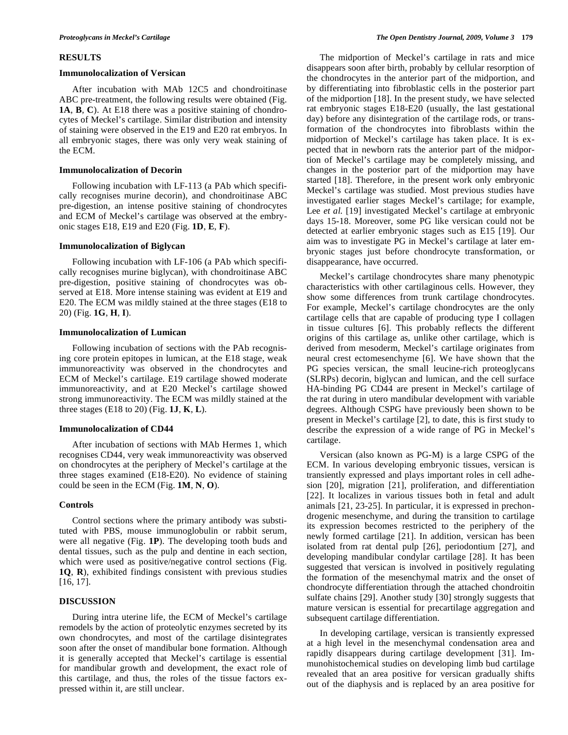#### **RESULTS**

#### **Immunolocalization of Versican**

 After incubation with MAb 12C5 and chondroitinase ABC pre-treatment, the following results were obtained (Fig. **1A**, **B**, **C**). At E18 there was a positive staining of chondrocytes of Meckel's cartilage. Similar distribution and intensity of staining were observed in the E19 and E20 rat embryos. In all embryonic stages, there was only very weak staining of the ECM.

#### **Immunolocalization of Decorin**

 Following incubation with LF-113 (a PAb which specifically recognises murine decorin), and chondroitinase ABC pre-digestion, an intense positive staining of chondrocytes and ECM of Meckel's cartilage was observed at the embryonic stages E18, E19 and E20 (Fig. **1D**, **E**, **F**).

#### **Immunolocalization of Biglycan**

 Following incubation with LF-106 (a PAb which specifically recognises murine biglycan), with chondroitinase ABC pre-digestion, positive staining of chondrocytes was observed at E18. More intense staining was evident at E19 and E20. The ECM was mildly stained at the three stages (E18 to 20) (Fig. **1G**, **H**, **I**).

#### **Immunolocalization of Lumican**

 Following incubation of sections with the PAb recognising core protein epitopes in lumican, at the E18 stage, weak immunoreactivity was observed in the chondrocytes and ECM of Meckel's cartilage. E19 cartilage showed moderate immunoreactivity, and at E20 Meckel's cartilage showed strong immunoreactivity. The ECM was mildly stained at the three stages (E18 to 20) (Fig. **1J**, **K**, **L**).

## **Immunolocalization of CD44**

 After incubation of sections with MAb Hermes 1, which recognises CD44, very weak immunoreactivity was observed on chondrocytes at the periphery of Meckel's cartilage at the three stages examined (E18-E20). No evidence of staining could be seen in the ECM (Fig. **1M**, **N**, **O**).

## **Controls**

 Control sections where the primary antibody was substituted with PBS, mouse immunoglobulin or rabbit serum, were all negative (Fig. **1P**). The developing tooth buds and dental tissues, such as the pulp and dentine in each section, which were used as positive/negative control sections (Fig. **1Q**, **R**), exhibited findings consistent with previous studies [16, 17].

## **DISCUSSION**

 During intra uterine life, the ECM of Meckel's cartilage remodels by the action of proteolytic enzymes secreted by its own chondrocytes, and most of the cartilage disintegrates soon after the onset of mandibular bone formation. Although it is generally accepted that Meckel's cartilage is essential for mandibular growth and development, the exact role of this cartilage, and thus, the roles of the tissue factors expressed within it, are still unclear.

 The midportion of Meckel's cartilage in rats and mice disappears soon after birth, probably by cellular resorption of the chondrocytes in the anterior part of the midportion, and by differentiating into fibroblastic cells in the posterior part of the midportion [18]. In the present study, we have selected rat embryonic stages E18-E20 (usually, the last gestational day) before any disintegration of the cartilage rods, or transformation of the chondrocytes into fibroblasts within the midportion of Meckel's cartilage has taken place. It is expected that in newborn rats the anterior part of the midportion of Meckel's cartilage may be completely missing, and changes in the posterior part of the midportion may have started [18]. Therefore, in the present work only embryonic Meckel's cartilage was studied. Most previous studies have investigated earlier stages Meckel's cartilage; for example, Lee *et al.* [19] investigated Meckel's cartilage at embryonic days 15-18. Moreover, some PG like versican could not be detected at earlier embryonic stages such as E15 [19]. Our aim was to investigate PG in Meckel's cartilage at later embryonic stages just before chondrocyte transformation, or disappearance, have occurred.

 Meckel's cartilage chondrocytes share many phenotypic characteristics with other cartilaginous cells. However, they show some differences from trunk cartilage chondrocytes. For example, Meckel's cartilage chondrocytes are the only cartilage cells that are capable of producing type I collagen in tissue cultures [6]. This probably reflects the different origins of this cartilage as, unlike other cartilage, which is derived from mesoderm, Meckel's cartilage originates from neural crest ectomesenchyme [6]. We have shown that the PG species versican, the small leucine-rich proteoglycans (SLRPs) decorin, biglycan and lumican, and the cell surface HA-binding PG CD44 are present in Meckel's cartilage of the rat during in utero mandibular development with variable degrees. Although CSPG have previously been shown to be present in Meckel's cartilage [2], to date, this is first study to describe the expression of a wide range of PG in Meckel's cartilage.

 Versican (also known as PG-M) is a large CSPG of the ECM. In various developing embryonic tissues, versican is transiently expressed and plays important roles in cell adhesion [20], migration [21], proliferation, and differentiation [22]. It localizes in various tissues both in fetal and adult animals [21, 23-25]. In particular, it is expressed in prechondrogenic mesenchyme, and during the transition to cartilage its expression becomes restricted to the periphery of the newly formed cartilage [21]. In addition, versican has been isolated from rat dental pulp [26], periodontium [27], and developing mandibular condylar cartilage [28]. It has been suggested that versican is involved in positively regulating the formation of the mesenchymal matrix and the onset of chondrocyte differentiation through the attached chondroitin sulfate chains [29]. Another study [30] strongly suggests that mature versican is essential for precartilage aggregation and subsequent cartilage differentiation.

 In developing cartilage, versican is transiently expressed at a high level in the mesenchymal condensation area and rapidly disappears during cartilage development [31]. Immunohistochemical studies on developing limb bud cartilage revealed that an area positive for versican gradually shifts out of the diaphysis and is replaced by an area positive for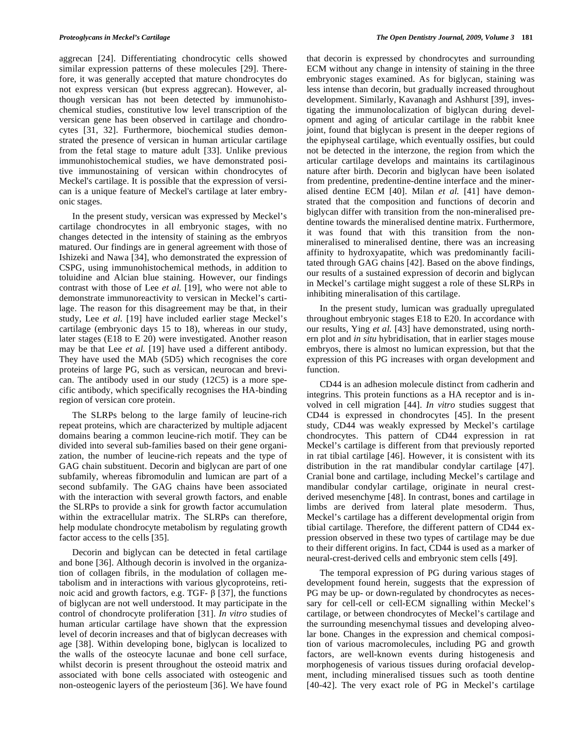aggrecan [24]. Differentiating chondrocytic cells showed similar expression patterns of these molecules [29]. Therefore, it was generally accepted that mature chondrocytes do not express versican (but express aggrecan). However, although versican has not been detected by immunohistochemical studies, constitutive low level transcription of the versican gene has been observed in cartilage and chondrocytes [31, 32]. Furthermore, biochemical studies demonstrated the presence of versican in human articular cartilage from the fetal stage to mature adult [33]. Unlike previous immunohistochemical studies, we have demonstrated positive immunostaining of versican within chondrocytes of Meckel's cartilage. It is possible that the expression of versican is a unique feature of Meckel's cartilage at later embryonic stages.

 In the present study, versican was expressed by Meckel's cartilage chondrocytes in all embryonic stages, with no changes detected in the intensity of staining as the embryos matured. Our findings are in general agreement with those of Ishizeki and Nawa [34], who demonstrated the expression of CSPG, using immunohistochemical methods, in addition to toluidine and Alcian blue staining. However, our findings contrast with those of Lee *et al.* [19], who were not able to demonstrate immunoreactivity to versican in Meckel's cartilage. The reason for this disagreement may be that, in their study, Lee *et al.* [19] have included earlier stage Meckel's cartilage (embryonic days 15 to 18), whereas in our study, later stages (E18 to E 20) were investigated. Another reason may be that Lee *et al.* [19] have used a different antibody. They have used the MAb (5D5) which recognises the core proteins of large PG, such as versican, neurocan and brevican. The antibody used in our study (12C5) is a more specific antibody, which specifically recognises the HA-binding region of versican core protein.

 The SLRPs belong to the large family of leucine-rich repeat proteins, which are characterized by multiple adjacent domains bearing a common leucine-rich motif. They can be divided into several sub-families based on their gene organization, the number of leucine-rich repeats and the type of GAG chain substituent. Decorin and biglycan are part of one subfamily, whereas fibromodulin and lumican are part of a second subfamily. The GAG chains have been associated with the interaction with several growth factors, and enable the SLRPs to provide a sink for growth factor accumulation within the extracellular matrix. The SLRPs can therefore, help modulate chondrocyte metabolism by regulating growth factor access to the cells [35].

 Decorin and biglycan can be detected in fetal cartilage and bone [36]. Although decorin is involved in the organization of collagen fibrils, in the modulation of collagen metabolism and in interactions with various glycoproteins, retinoic acid and growth factors, e.g. TGF- $\beta$  [37], the functions of biglycan are not well understood. It may participate in the control of chondrocyte proliferation [31]. *In vitro* studies of human articular cartilage have shown that the expression level of decorin increases and that of biglycan decreases with age [38]. Within developing bone, biglycan is localized to the walls of the osteocyte lacunae and bone cell surface, whilst decorin is present throughout the osteoid matrix and associated with bone cells associated with osteogenic and non-osteogenic layers of the periosteum [36]. We have found

that decorin is expressed by chondrocytes and surrounding ECM without any change in intensity of staining in the three embryonic stages examined. As for biglycan, staining was less intense than decorin, but gradually increased throughout development. Similarly, Kavanagh and Ashhurst [39], investigating the immunolocalization of biglycan during development and aging of articular cartilage in the rabbit knee joint, found that biglycan is present in the deeper regions of the epiphyseal cartilage, which eventually ossifies, but could not be detected in the interzone, the region from which the articular cartilage develops and maintains its cartilaginous nature after birth. Decorin and biglycan have been isolated from predentine, predentine-dentine interface and the mineralised dentine ECM [40]. Milan *et al.* [41] have demonstrated that the composition and functions of decorin and biglycan differ with transition from the non-mineralised predentine towards the mineralised dentine matrix. Furthermore, it was found that with this transition from the nonmineralised to mineralised dentine, there was an increasing affinity to hydroxyapatite, which was predominantly facilitated through GAG chains [42]. Based on the above findings, our results of a sustained expression of decorin and biglycan in Meckel's cartilage might suggest a role of these SLRPs in inhibiting mineralisation of this cartilage.

 In the present study, lumican was gradually upregulated throughout embryonic stages E18 to E20. In accordance with our results, Ying *et al.* [43] have demonstrated, using northern plot and *in situ* hybridisation, that in earlier stages mouse embryos, there is almost no lumican expression, but that the expression of this PG increases with organ development and function.

 CD44 is an adhesion molecule distinct from cadherin and integrins. This protein functions as a HA receptor and is involved in cell migration [44]. *In vitro* studies suggest that CD44 is expressed in chondrocytes [45]. In the present study, CD44 was weakly expressed by Meckel's cartilage chondrocytes. This pattern of CD44 expression in rat Meckel's cartilage is different from that previously reported in rat tibial cartilage [46]. However, it is consistent with its distribution in the rat mandibular condylar cartilage [47]. Cranial bone and cartilage, including Meckel's cartilage and mandibular condylar cartilage, originate in neural crestderived mesenchyme [48]. In contrast, bones and cartilage in limbs are derived from lateral plate mesoderm. Thus, Meckel's cartilage has a different developmental origin from tibial cartilage. Therefore, the different pattern of CD44 expression observed in these two types of cartilage may be due to their different origins. In fact, CD44 is used as a marker of neural-crest-derived cells and embryonic stem cells [49].

 The temporal expression of PG during various stages of development found herein, suggests that the expression of PG may be up- or down-regulated by chondrocytes as necessary for cell-cell or cell-ECM signalling within Meckel's cartilage, or between chondrocytes of Meckel's cartilage and the surrounding mesenchymal tissues and developing alveolar bone. Changes in the expression and chemical composition of various macromolecules, including PG and growth factors, are well-known events during histogenesis and morphogenesis of various tissues during orofacial development, including mineralised tissues such as tooth dentine [40-42]. The very exact role of PG in Meckel's cartilage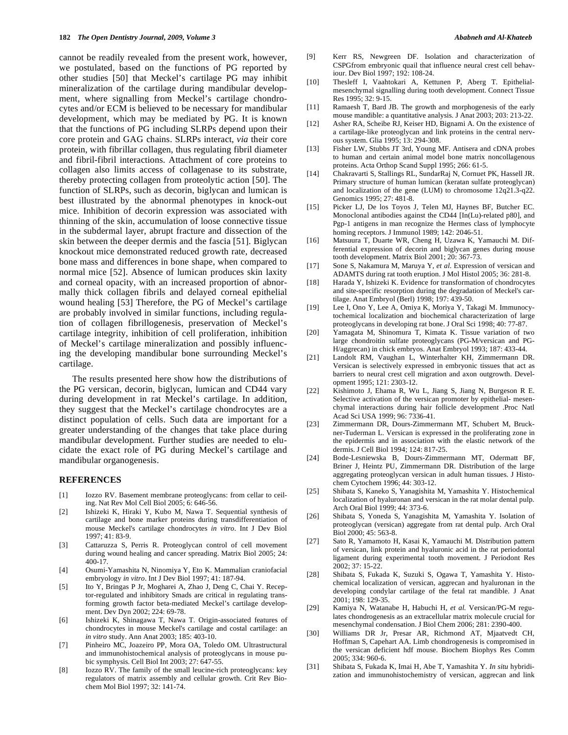cannot be readily revealed from the present work, however, we postulated, based on the functions of PG reported by other studies [50] that Meckel's cartilage PG may inhibit mineralization of the cartilage during mandibular development, where signalling from Meckel's cartilage chondrocytes and/or ECM is believed to be necessary for mandibular development, which may be mediated by PG. It is known that the functions of PG including SLRPs depend upon their core protein and GAG chains. SLRPs interact, *via* their core protein, with fibrillar collagen, thus regulating fibril diameter and fibril-fibril interactions. Attachment of core proteins to collagen also limits access of collagenase to its substrate, thereby protecting collagen from proteolytic action [50]. The function of SLRPs, such as decorin, biglycan and lumican is best illustrated by the abnormal phenotypes in knock-out mice. Inhibition of decorin expression was associated with thinning of the skin, accumulation of loose connective tissue in the subdermal layer, abrupt fracture and dissection of the skin between the deeper dermis and the fascia [51]. Biglycan knockout mice demonstrated reduced growth rate, decreased bone mass and differences in bone shape, when compared to normal mice [52]. Absence of lumican produces skin laxity and corneal opacity, with an increased proportion of abnormally thick collagen fibrils and delayed corneal epithelial wound healing [53] Therefore, the PG of Meckel's cartilage are probably involved in similar functions, including regulation of collagen fibrillogenesis, preservation of Meckel's cartilage integrity, inhibition of cell proliferation, inhibition of Meckel's cartilage mineralization and possibly influencing the developing mandibular bone surrounding Meckel's cartilage.

 The results presented here show how the distributions of the PG versican, decorin, biglycan, lumican and CD44 vary during development in rat Meckel's cartilage. In addition, they suggest that the Meckel's cartilage chondrocytes are a distinct population of cells. Such data are important for a greater understanding of the changes that take place during mandibular development. Further studies are needed to elucidate the exact role of PG during Meckel's cartilage and mandibular organogenesis.

## **REFERENCES**

- [1] Iozzo RV. Basement membrane proteoglycans: from cellar to ceiling. Nat Rev Mol Cell Biol 2005; 6: 646-56.
- [2] Ishizeki K, Hiraki Y, Kubo M, Nawa T. Sequential synthesis of cartilage and bone marker proteins during transdifferentiation of mouse Meckel's cartilage chondrocytes *in vitro*. Int J Dev Biol 1997; 41: 83-9.
- [3] Cattaruzza S, Perris R. Proteoglycan control of cell movement during wound healing and cancer spreading. Matrix Biol 2005; 24: 400-17.
- [4] Osumi-Yamashita N, Ninomiya Y, Eto K. Mammalian craniofacial embryology *in vitro*. Int J Dev Biol 1997; 41: 187-94.
- [5] Ito Y, Bringas P Jr, Mogharei A, Zhao J, Deng C, Chai Y. Receptor-regulated and inhibitory Smads are critical in regulating transforming growth factor beta-mediated Meckel's cartilage development. Dev Dyn 2002; 224: 69-78.
- [6] Ishizeki K, Shinagawa T, Nawa T. Origin-associated features of chondrocytes in mouse Meckel's cartilage and costal cartilage: an *in vitro* study. Ann Anat 2003; 185: 403-10.
- [7] Pinheiro MC, Joazeiro PP, Mora OA, Toledo OM. Ultrastructural and immunohistochemical analysis of proteoglycans in mouse pubic symphysis. Cell Biol Int 2003; 27: 647-55.
- [8] Iozzo RV. The family of the small leucine-rich proteoglycans: key regulators of matrix assembly and cellular growth. Crit Rev Biochem Mol Biol 1997; 32: 141-74.
- [9] Kerr RS, Newgreen DF. Isolation and characterization of CSPGfrom embryonic quail that influence neural crest cell behaviour. Dev Biol 1997; 192: 108-24.
- [10] Thesleff I, Vaahtokari A, Kettunen P, Aberg T. Epithelialmesenchymal signalling during tooth development. Connect Tissue Res 1995; 32: 9-15.
- [11] Ramaesh T, Bard JB. The growth and morphogenesis of the early mouse mandible: a quantitative analysis. J Anat 2003; 203: 213-22.
- [12] Asher RA, Scheibe RJ, Keiser HD, Bignami A. On the existence of a cartilage-like proteoglycan and link proteins in the central nervous system. Glia 1995; 13: 294-308.
- [13] Fisher LW, Stubbs JT 3rd, Young MF. Antisera and cDNA probes to human and certain animal model bone matrix noncollagenous proteins. Acta Orthop Scand Suppl 1995; 266: 61-5.
- [14] Chakravarti S, Stallings RL, SundarRaj N, Cornuet PK, Hassell JR. Primary structure of human lumican (keratan sulfate proteoglycan) and localization of the gene (LUM) to chromosome 12q21.3-q22. Genomics 1995; 27: 481-8.
- [15] Picker LJ, De los Toyos J, Telen MJ, Haynes BF, Butcher EC. Monoclonal antibodies against the CD44 [In(Lu)-related p80], and Pgp-1 antigens in man recognize the Hermes class of lymphocyte homing receptors. J Immunol 1989; 142: 2046-51.
- [16] Matsuura T, Duarte WR, Cheng H, Uzawa K, Yamauchi M. Differential expression of decorin and biglycan genes during mouse tooth development. Matrix Biol 2001; 20: 367-73.
- [17] Sone S, Nakamura M, Maruya Y, *et al*. Expression of versican and ADAMTS during rat tooth eruption. J Mol Histol 2005; 36: 281-8.
- [18] Harada Y, Ishizeki K. Evidence for transformation of chondrocytes and site-specific resorption during the degradation of Meckel's cartilage. Anat Embryol (Berl) 1998; 197: 439-50.
- [19] Lee I, Ono Y, Lee A, Omiya K, Moriya Y, Takagi M. Immunocytochemical localization and biochemical characterization of large proteoglycans in developing rat bone. J Oral Sci 1998; 40: 77-87.
- [20] Yamagata M, Shinomura T, Kimata K. Tissue variation of two large chondroitin sulfate proteoglycans (PG-M/versican and PG-H/aggrecan) in chick embryos. Anat Embryol 1993; 187: 433-44.
- [21] Landolt RM, Vaughan L, Winterhalter KH, Zimmermann DR. Versican is selectively expressed in embryonic tissues that act as barriers to neural crest cell migration and axon outgrowth. Development 1995; 121: 2303-12.
- [22] Kishimoto J, Ehama R, Wu L, Jiang S, Jiang N, Burgeson R E. Selective activation of the versican promoter by epithelial- mesenchymal interactions during hair follicle development .Proc Natl Acad Sci USA 1999; 96: 7336-41.
- [23] Zimmermann DR, Dours-Zimmermann MT, Schubert M, Bruckner-Tuderman L. Versican is expressed in the proliferating zone in the epidermis and in association with the elastic network of the dermis. J Cell Biol 1994; 124: 817-25.
- [24] Bode-Lesniewska B, Dours-Zimmermann MT, Odermatt BF, Briner J, Heintz PU, Zimmermann DR. Distribution of the large aggregating proteoglycan versican in adult human tissues. J Histochem Cytochem 1996; 44: 303-12.
- [25] Shibata S, Kaneko S, Yanagishita M, Yamashita Y. Histochemical localization of hyaluronan and versican in the rat molar dental pulp. Arch Oral Biol 1999; 44: 373-6.
- [26] Shibata S, Yoneda S, Yanagishita M, Yamashita Y. Isolation of proteoglycan (versican) aggregate from rat dental pulp. Arch Oral Biol 2000; 45: 563-8.
- [27] Sato R, Yamamoto H, Kasai K, Yamauchi M. Distribution pattern of versican, link protein and hyaluronic acid in the rat periodontal ligament during experimental tooth movement. J Periodont Res 2002; 37: 15-22.
- [28] Shibata S, Fukada K, Suzuki S, Ogawa T, Yamashita Y. Histochemical localization of versican, aggrecan and hyaluronan in the developing condylar cartilage of the fetal rat mandible. J Anat 2001; 198: 129-35.
- [29] Kamiya N, Watanabe H, Habuchi H, *et al.* Versican/PG-M regulates chondrogenesis as an extracellular matrix molecule crucial for mesenchymal condensation. J Biol Chem 2006; 281: 2390-400.
- [30] Williams DR Jr, Presar AR, Richmond AT, Mjaatvedt CH, Hoffman S, Capehart AA. Limb chondrogenesis is compromised in the versican deficient hdf mouse. Biochem Biophys Res Comm 2005; 334: 960-6.
- [31] Shibata S, Fukada K, Imai H, Abe T, Yamashita Y. *In situ* hybridization and immunohistochemistry of versican, aggrecan and link